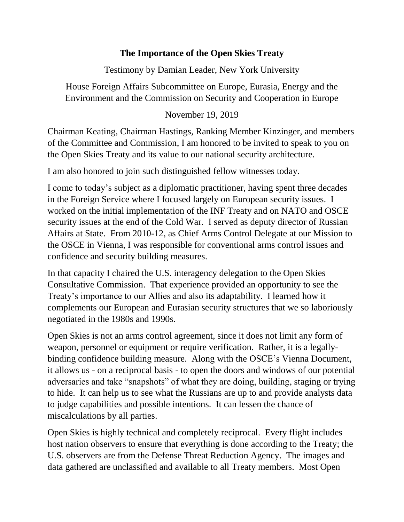## **The Importance of the Open Skies Treaty**

Testimony by Damian Leader, New York University

House Foreign Affairs Subcommittee on Europe, Eurasia, Energy and the Environment and the Commission on Security and Cooperation in Europe

## November 19, 2019

Chairman Keating, Chairman Hastings, Ranking Member Kinzinger, and members of the Committee and Commission, I am honored to be invited to speak to you on the Open Skies Treaty and its value to our national security architecture.

I am also honored to join such distinguished fellow witnesses today.

I come to today's subject as a diplomatic practitioner, having spent three decades in the Foreign Service where I focused largely on European security issues. I worked on the initial implementation of the INF Treaty and on NATO and OSCE security issues at the end of the Cold War. I served as deputy director of Russian Affairs at State. From 2010-12, as Chief Arms Control Delegate at our Mission to the OSCE in Vienna, I was responsible for conventional arms control issues and confidence and security building measures.

In that capacity I chaired the U.S. interagency delegation to the Open Skies Consultative Commission. That experience provided an opportunity to see the Treaty's importance to our Allies and also its adaptability. I learned how it complements our European and Eurasian security structures that we so laboriously negotiated in the 1980s and 1990s.

Open Skies is not an arms control agreement, since it does not limit any form of weapon, personnel or equipment or require verification. Rather, it is a legallybinding confidence building measure. Along with the OSCE's Vienna Document, it allows us - on a reciprocal basis - to open the doors and windows of our potential adversaries and take "snapshots" of what they are doing, building, staging or trying to hide. It can help us to see what the Russians are up to and provide analysts data to judge capabilities and possible intentions. It can lessen the chance of miscalculations by all parties.

Open Skies is highly technical and completely reciprocal. Every flight includes host nation observers to ensure that everything is done according to the Treaty; the U.S. observers are from the Defense Threat Reduction Agency. The images and data gathered are unclassified and available to all Treaty members. Most Open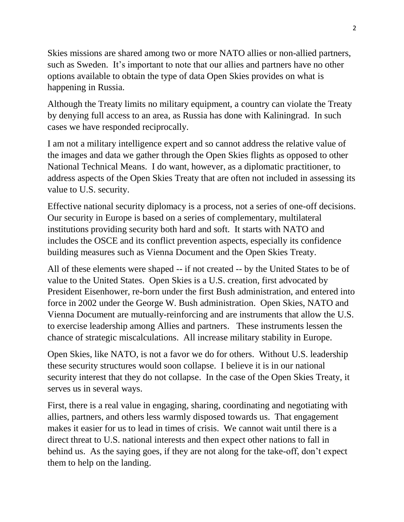Skies missions are shared among two or more NATO allies or non-allied partners, such as Sweden. It's important to note that our allies and partners have no other options available to obtain the type of data Open Skies provides on what is happening in Russia.

Although the Treaty limits no military equipment, a country can violate the Treaty by denying full access to an area, as Russia has done with Kaliningrad. In such cases we have responded reciprocally.

I am not a military intelligence expert and so cannot address the relative value of the images and data we gather through the Open Skies flights as opposed to other National Technical Means. I do want, however, as a diplomatic practitioner, to address aspects of the Open Skies Treaty that are often not included in assessing its value to U.S. security.

Effective national security diplomacy is a process, not a series of one-off decisions. Our security in Europe is based on a series of complementary, multilateral institutions providing security both hard and soft. It starts with NATO and includes the OSCE and its conflict prevention aspects, especially its confidence building measures such as Vienna Document and the Open Skies Treaty.

All of these elements were shaped -- if not created -- by the United States to be of value to the United States. Open Skies is a U.S. creation, first advocated by President Eisenhower, re-born under the first Bush administration, and entered into force in 2002 under the George W. Bush administration. Open Skies, NATO and Vienna Document are mutually-reinforcing and are instruments that allow the U.S. to exercise leadership among Allies and partners. These instruments lessen the chance of strategic miscalculations. All increase military stability in Europe.

Open Skies, like NATO, is not a favor we do for others. Without U.S. leadership these security structures would soon collapse. I believe it is in our national security interest that they do not collapse. In the case of the Open Skies Treaty, it serves us in several ways.

First, there is a real value in engaging, sharing, coordinating and negotiating with allies, partners, and others less warmly disposed towards us. That engagement makes it easier for us to lead in times of crisis. We cannot wait until there is a direct threat to U.S. national interests and then expect other nations to fall in behind us. As the saying goes, if they are not along for the take-off, don't expect them to help on the landing.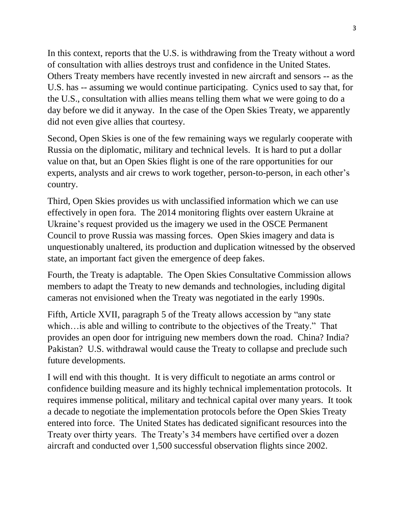In this context, reports that the U.S. is withdrawing from the Treaty without a word of consultation with allies destroys trust and confidence in the United States. Others Treaty members have recently invested in new aircraft and sensors -- as the U.S. has -- assuming we would continue participating. Cynics used to say that, for the U.S., consultation with allies means telling them what we were going to do a day before we did it anyway. In the case of the Open Skies Treaty, we apparently did not even give allies that courtesy.

Second, Open Skies is one of the few remaining ways we regularly cooperate with Russia on the diplomatic, military and technical levels. It is hard to put a dollar value on that, but an Open Skies flight is one of the rare opportunities for our experts, analysts and air crews to work together, person-to-person, in each other's country.

Third, Open Skies provides us with unclassified information which we can use effectively in open fora. The 2014 monitoring flights over eastern Ukraine at Ukraine's request provided us the imagery we used in the OSCE Permanent Council to prove Russia was massing forces. Open Skies imagery and data is unquestionably unaltered, its production and duplication witnessed by the observed state, an important fact given the emergence of deep fakes.

Fourth, the Treaty is adaptable. The Open Skies Consultative Commission allows members to adapt the Treaty to new demands and technologies, including digital cameras not envisioned when the Treaty was negotiated in the early 1990s.

Fifth, Article XVII, paragraph 5 of the Treaty allows accession by "any state which…is able and willing to contribute to the objectives of the Treaty." That provides an open door for intriguing new members down the road. China? India? Pakistan? U.S. withdrawal would cause the Treaty to collapse and preclude such future developments.

I will end with this thought. It is very difficult to negotiate an arms control or confidence building measure and its highly technical implementation protocols. It requires immense political, military and technical capital over many years. It took a decade to negotiate the implementation protocols before the Open Skies Treaty entered into force. The United States has dedicated significant resources into the Treaty over thirty years. The Treaty's 34 members have certified over a dozen aircraft and conducted over 1,500 successful observation flights since 2002.